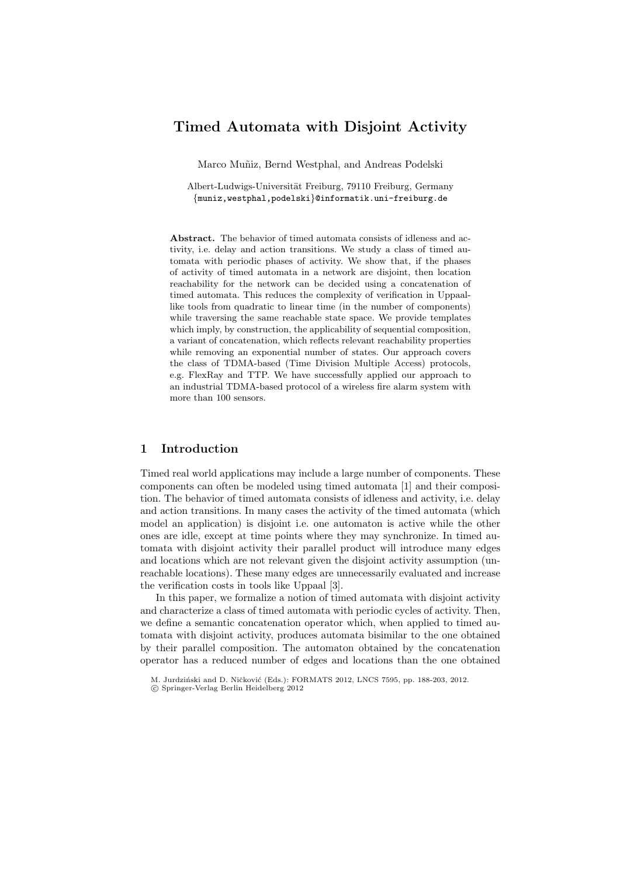# Timed Automata with Disjoint Activity

Marco Muñiz, Bernd Westphal, and Andreas Podelski

Albert-Ludwigs-Universität Freiburg, 79110 Freiburg, Germany {muniz,westphal,podelski}@informatik.uni-freiburg.de

Abstract. The behavior of timed automata consists of idleness and activity, i.e. delay and action transitions. We study a class of timed automata with periodic phases of activity. We show that, if the phases of activity of timed automata in a network are disjoint, then location reachability for the network can be decided using a concatenation of timed automata. This reduces the complexity of verification in Uppaallike tools from quadratic to linear time (in the number of components) while traversing the same reachable state space. We provide templates which imply, by construction, the applicability of sequential composition, a variant of concatenation, which reflects relevant reachability properties while removing an exponential number of states. Our approach covers the class of TDMA-based (Time Division Multiple Access) protocols, e.g. FlexRay and TTP. We have successfully applied our approach to an industrial TDMA-based protocol of a wireless fire alarm system with more than 100 sensors.

# 1 Introduction

Timed real world applications may include a large number of components. These components can often be modeled using timed automata [1] and their composition. The behavior of timed automata consists of idleness and activity, i.e. delay and action transitions. In many cases the activity of the timed automata (which model an application) is disjoint i.e. one automaton is active while the other ones are idle, except at time points where they may synchronize. In timed automata with disjoint activity their parallel product will introduce many edges and locations which are not relevant given the disjoint activity assumption (unreachable locations). These many edges are unnecessarily evaluated and increase the verification costs in tools like Uppaal [3].

In this paper, we formalize a notion of timed automata with disjoint activity and characterize a class of timed automata with periodic cycles of activity. Then, we define a semantic concatenation operator which, when applied to timed automata with disjoint activity, produces automata bisimilar to the one obtained by their parallel composition. The automaton obtained by the concatenation operator has a reduced number of edges and locations than the one obtained

M. Jurdziński and D. Ničković (Eds.): FORMATS 2012, LNCS 7595, pp. 188-203, 2012.

c Springer-Verlag Berlin Heidelberg 2012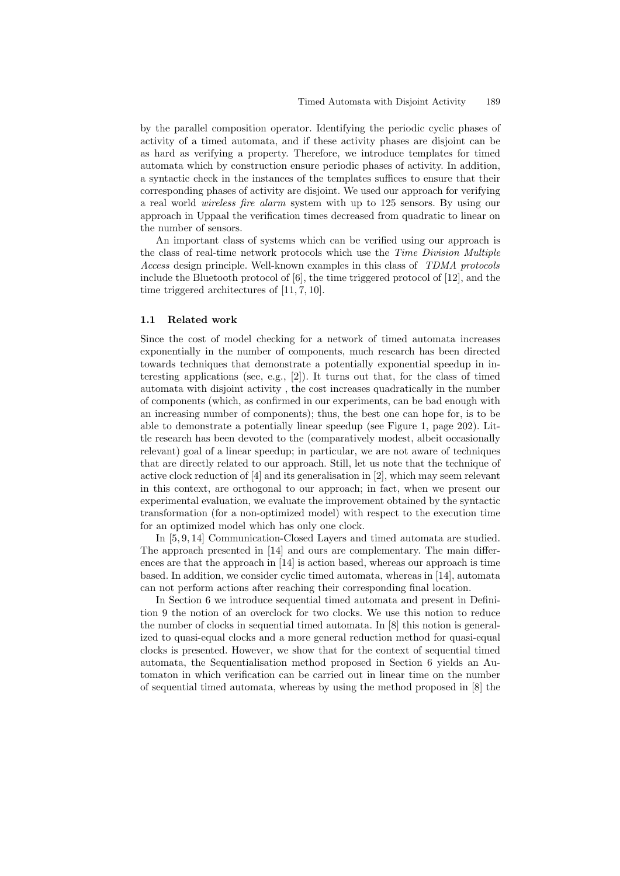by the parallel composition operator. Identifying the periodic cyclic phases of activity of a timed automata, and if these activity phases are disjoint can be as hard as verifying a property. Therefore, we introduce templates for timed automata which by construction ensure periodic phases of activity. In addition, a syntactic check in the instances of the templates suffices to ensure that their corresponding phases of activity are disjoint. We used our approach for verifying a real world wireless fire alarm system with up to 125 sensors. By using our approach in Uppaal the verification times decreased from quadratic to linear on the number of sensors.

An important class of systems which can be verified using our approach is the class of real-time network protocols which use the Time Division Multiple Access design principle. Well-known examples in this class of TDMA protocols include the Bluetooth protocol of [6], the time triggered protocol of [12], and the time triggered architectures of [11, 7, 10].

### 1.1 Related work

Since the cost of model checking for a network of timed automata increases exponentially in the number of components, much research has been directed towards techniques that demonstrate a potentially exponential speedup in interesting applications (see, e.g., [2]). It turns out that, for the class of timed automata with disjoint activity , the cost increases quadratically in the number of components (which, as confirmed in our experiments, can be bad enough with an increasing number of components); thus, the best one can hope for, is to be able to demonstrate a potentially linear speedup (see Figure 1, page 202). Little research has been devoted to the (comparatively modest, albeit occasionally relevant) goal of a linear speedup; in particular, we are not aware of techniques that are directly related to our approach. Still, let us note that the technique of active clock reduction of [4] and its generalisation in [2], which may seem relevant in this context, are orthogonal to our approach; in fact, when we present our experimental evaluation, we evaluate the improvement obtained by the syntactic transformation (for a non-optimized model) with respect to the execution time for an optimized model which has only one clock.

In [5, 9, 14] Communication-Closed Layers and timed automata are studied. The approach presented in [14] and ours are complementary. The main differences are that the approach in [14] is action based, whereas our approach is time based. In addition, we consider cyclic timed automata, whereas in [14], automata can not perform actions after reaching their corresponding final location.

In Section 6 we introduce sequential timed automata and present in Definition 9 the notion of an overclock for two clocks. We use this notion to reduce the number of clocks in sequential timed automata. In [8] this notion is generalized to quasi-equal clocks and a more general reduction method for quasi-equal clocks is presented. However, we show that for the context of sequential timed automata, the Sequentialisation method proposed in Section 6 yields an Automaton in which verification can be carried out in linear time on the number of sequential timed automata, whereas by using the method proposed in [8] the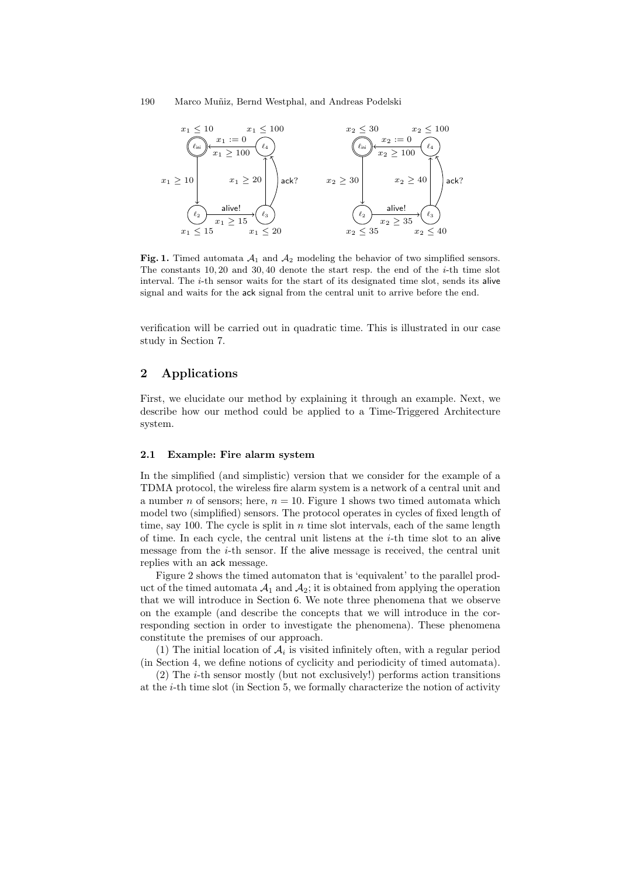

Fig. 1. Timed automata  $A_1$  and  $A_2$  modeling the behavior of two simplified sensors. The constants 10, 20 and 30, 40 denote the start resp. the end of the i-th time slot interval. The  $i$ -th sensor waits for the start of its designated time slot, sends its alive signal and waits for the ack signal from the central unit to arrive before the end.

verification will be carried out in quadratic time. This is illustrated in our case study in Section 7.

# 2 Applications

First, we elucidate our method by explaining it through an example. Next, we describe how our method could be applied to a Time-Triggered Architecture system.

### 2.1 Example: Fire alarm system

In the simplified (and simplistic) version that we consider for the example of a TDMA protocol, the wireless fire alarm system is a network of a central unit and a number *n* of sensors; here,  $n = 10$ . Figure 1 shows two timed automata which model two (simplified) sensors. The protocol operates in cycles of fixed length of time, say 100. The cycle is split in  $n$  time slot intervals, each of the same length of time. In each cycle, the central unit listens at the  $i$ -th time slot to an alive message from the i-th sensor. If the alive message is received, the central unit replies with an ack message.

Figure 2 shows the timed automaton that is 'equivalent' to the parallel product of the timed automata  $\mathcal{A}_1$  and  $\mathcal{A}_2$ ; it is obtained from applying the operation that we will introduce in Section 6. We note three phenomena that we observe on the example (and describe the concepts that we will introduce in the corresponding section in order to investigate the phenomena). These phenomena constitute the premises of our approach.

(1) The initial location of  $A_i$  is visited infinitely often, with a regular period (in Section 4, we define notions of cyclicity and periodicity of timed automata).

 $(2)$  The *i*-th sensor mostly (but not exclusively!) performs action transitions at the i-th time slot (in Section 5, we formally characterize the notion of activity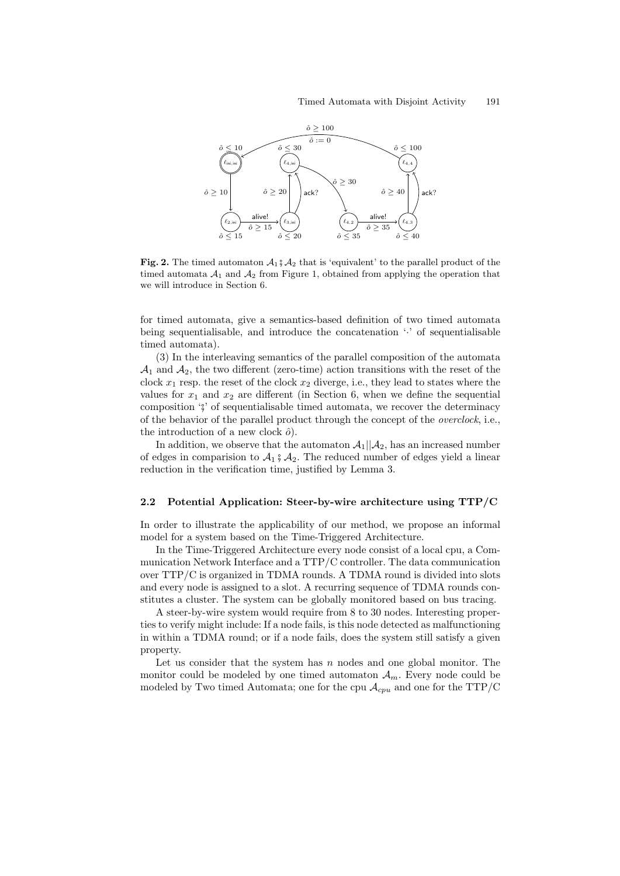

Fig. 2. The timed automaton  $\mathcal{A}_1 \, \mathcal{A}_2$  that is 'equivalent' to the parallel product of the timed automata  $A_1$  and  $A_2$  from Figure 1, obtained from applying the operation that we will introduce in Section 6.

for timed automata, give a semantics-based definition of two timed automata being sequentialisable, and introduce the concatenation '·' of sequentialisable timed automata).

(3) In the interleaving semantics of the parallel composition of the automata  $\mathcal{A}_1$  and  $\mathcal{A}_2$ , the two different (zero-time) action transitions with the reset of the clock  $x_1$  resp. the reset of the clock  $x_2$  diverge, i.e., they lead to states where the values for  $x_1$  and  $x_2$  are different (in Section 6, when we define the sequential composition  $\zeta$  of sequentialisable timed automata, we recover the determinacy of the behavior of the parallel product through the concept of the overclock, i.e., the introduction of a new clock  $\hat{o}$ ).

In addition, we observe that the automaton  $\mathcal{A}_1||\mathcal{A}_2$ , has an increased number of edges in comparision to  $\mathcal{A}_1 \circ \mathcal{A}_2$ . The reduced number of edges yield a linear reduction in the verification time, justified by Lemma 3.

### 2.2 Potential Application: Steer-by-wire architecture using TTP/C

In order to illustrate the applicability of our method, we propose an informal model for a system based on the Time-Triggered Architecture.

In the Time-Triggered Architecture every node consist of a local cpu, a Communication Network Interface and a TTP/C controller. The data communication over TTP/C is organized in TDMA rounds. A TDMA round is divided into slots and every node is assigned to a slot. A recurring sequence of TDMA rounds constitutes a cluster. The system can be globally monitored based on bus tracing.

A steer-by-wire system would require from 8 to 30 nodes. Interesting properties to verify might include: If a node fails, is this node detected as malfunctioning in within a TDMA round; or if a node fails, does the system still satisfy a given property.

Let us consider that the system has  $n$  nodes and one global monitor. The monitor could be modeled by one timed automaton  $A_m$ . Every node could be modeled by Two timed Automata; one for the cpu  $\mathcal{A}_{cpu}$  and one for the TTP/C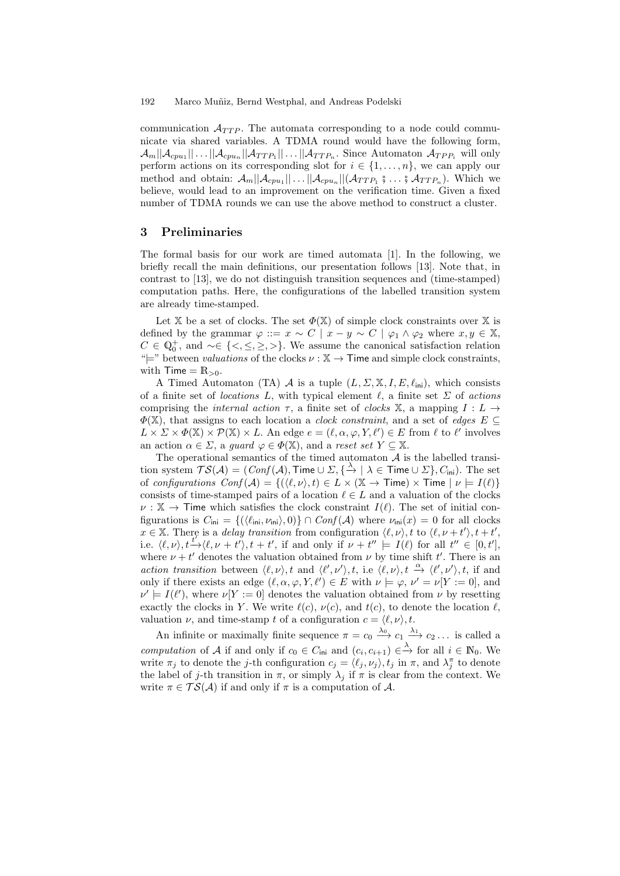communication  $\mathcal{A}_{TTP}$ . The automata corresponding to a node could communicate via shared variables. A TDMA round would have the following form,  $\mathcal{A}_m||\mathcal{A}_{cpu_1}|| \ldots ||\mathcal{A}_{cmp_n}||\mathcal{A}_{TTP_n}|| \ldots ||\mathcal{A}_{TTP_n}$ . Since Automaton  $\mathcal{A}_{TPP_i}$  will only perform actions on its corresponding slot for  $i \in \{1, \ldots, n\}$ , we can apply our method and obtain:  $\mathcal{A}_m || \mathcal{A}_{cpu_1} || \dots || \mathcal{A}_{cpu_n} || (\mathcal{A}_{TTP_1} \circ \dots \circ \mathcal{A}_{TTP_n}).$  Which we<br>holique would lood to an improvement on the verification time. Given a fixed believe, would lead to an improvement on the verification time. Given a fixed number of TDMA rounds we can use the above method to construct a cluster.

### 3 Preliminaries

The formal basis for our work are timed automata [1]. In the following, we briefly recall the main definitions, our presentation follows [13]. Note that, in contrast to [13], we do not distinguish transition sequences and (time-stamped) computation paths. Here, the configurations of the labelled transition system are already time-stamped.

Let X be a set of clocks. The set  $\Phi(\mathbb{X})$  of simple clock constraints over X is defined by the grammar  $\varphi ::= x \sim C \mid x - y \sim C \mid \varphi_1 \wedge \varphi_2$  where  $x, y \in \mathbb{X}$ ,  $C \in \mathbb{Q}_0^+$ , and ~∈ {<, ≤, ≥, >}. We assume the canonical satisfaction relation " $\models$ " between *valuations* of the clocks  $\nu : \mathbb{X} \to \mathsf{T}$  ime and simple clock constraints, with  $Time = R_{>0}$ .

A Timed Automaton (TA) A is a tuple  $(L, \Sigma, \mathbb{X}, I, E, \ell_{\text{ini}})$ , which consists of a finite set of *locations* L, with typical element  $\ell$ , a finite set  $\Sigma$  of actions comprising the *internal action*  $\tau$ , a finite set of *clocks* X, a mapping  $I: L \rightarrow$  $\Phi(X)$ , that assigns to each location a *clock constraint*, and a set of *edges*  $E \subseteq$  $L \times \Sigma \times \Phi(\mathbb{X}) \times \mathcal{P}(\mathbb{X}) \times L$ . An edge  $e = (\ell, \alpha, \varphi, Y, \ell') \in E$  from  $\ell$  to  $\ell'$  involves an action  $\alpha \in \Sigma$ , a *guard*  $\varphi \in \Phi(\mathbb{X})$ , and a *reset set*  $Y \subseteq \mathbb{X}$ .

The operational semantics of the timed automaton  $A$  is the labelled transition system  $\mathcal{TS}(\mathcal{A}) = (\mathit{Conf}(\mathcal{A}), \mathsf{Time} \cup \Sigma, \{\stackrel{\lambda}{\to} \mid \lambda \in \mathsf{Time} \cup \Sigma\}, C_{\mathsf{ini}}).$  The set of configurations  $Conf(A) = \{ (\langle \ell, \nu \rangle, t) \in L \times (\mathbb{X} \to \mathsf{Time}) \times \mathsf{Time} \mid \nu \models I(\ell) \}$ consists of time-stamped pairs of a location  $\ell \in L$  and a valuation of the clocks  $\nu : \mathbb{X} \to \mathsf{T}$ ime which satisfies the clock constraint  $I(\ell)$ . The set of initial configurations is  $C_{\text{ini}} = \{(\langle \ell_{\text{ini}}, \nu_{\text{ini}} \rangle, 0) \} \cap Conf(\mathcal{A})$  where  $\nu_{\text{ini}}(x) = 0$  for all clocks  $x \in \mathbb{X}$ . There is a delay transition from configuration  $\langle \ell, \nu \rangle$ , t to  $\langle \ell, \nu + t' \rangle$ ,  $t + t'$ , i.e.  $\langle \ell, \nu \rangle, t \xrightarrow{t'} \langle \ell, \nu + t' \rangle, t + t'$ , if and only if  $\nu + t'' \models I(\ell)$  for all  $t'' \in [0, t']$ , where  $\nu + t'$  denotes the valuation obtained from  $\nu$  by time shift t'. There is an action transition between  $\langle \ell, \nu \rangle$ , t and  $\langle \ell', \nu' \rangle$ , t, i.e  $\langle \ell, \nu \rangle$ , t  $\stackrel{\alpha}{\rightarrow} \langle \ell', \nu' \rangle$ , t, if and only if there exists an edge  $(\ell, \alpha, \varphi, Y, \ell') \in E$  with  $\nu \models \varphi, \nu' = \nu[Y := 0]$ , and  $\nu' \models I(\ell')$ , where  $\nu[Y := 0]$  denotes the valuation obtained from  $\nu$  by resetting exactly the clocks in Y. We write  $\ell(c)$ ,  $\nu(c)$ , and  $t(c)$ , to denote the location  $\ell$ , valuation  $\nu$ , and time-stamp t of a configuration  $c = \langle \ell, \nu \rangle, t$ .

An infinite or maximally finite sequence  $\pi = c_0 \xrightarrow{\lambda_0} c_1 \xrightarrow{\lambda_1} c_2 \dots$  is called a computation of A if and only if  $c_0 \in C_{\text{ini}}$  and  $(c_i, c_{i+1}) \in \stackrel{\lambda}{\to}$  for all  $i \in \mathbb{N}_0$ . We write  $\pi_j$  to denote the j-th configuration  $c_j = \langle \ell_j, \nu_j \rangle, t_j$  in  $\pi$ , and  $\lambda_j^{\pi}$  to denote the label of j-th transition in  $\pi$ , or simply  $\lambda_j$  if  $\pi$  is clear from the context. We write  $\pi \in \mathcal{TS}(\mathcal{A})$  if and only if  $\pi$  is a computation of  $\mathcal{A}$ .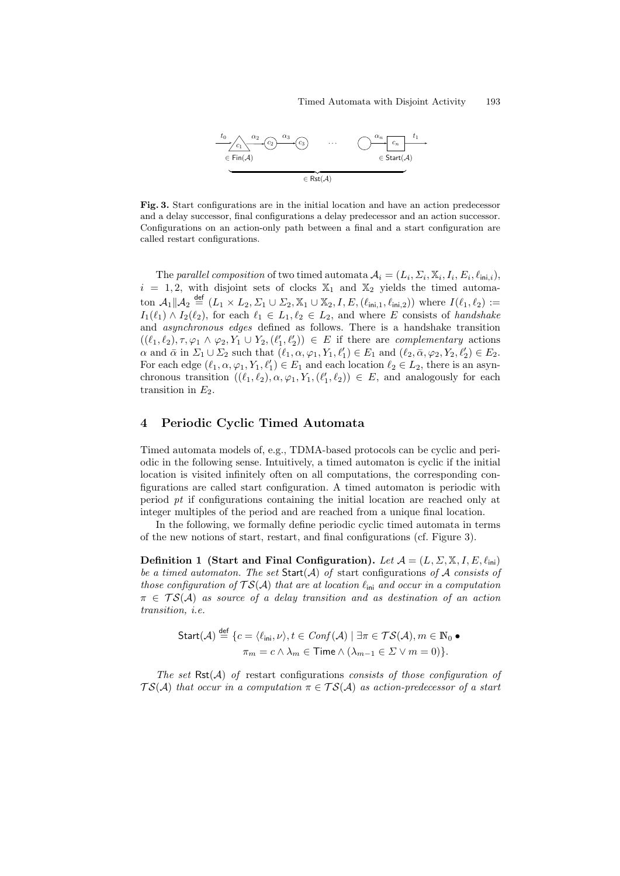

Fig. 3. Start configurations are in the initial location and have an action predecessor and a delay successor, final configurations a delay predecessor and an action successor. Configurations on an action-only path between a final and a start configuration are called restart configurations.

The parallel composition of two timed automata  $A_i = (L_i, \Sigma_i, \mathbb{X}_i, I_i, E_i, \ell_{\text{ini},i}),$  $i = 1, 2$ , with disjoint sets of clocks  $\mathbb{X}_1$  and  $\mathbb{X}_2$  yields the timed automaton  $\mathcal{A}_1 \| \mathcal{A}_2 \stackrel{\text{def}}{=} (L_1 \times L_2, \Sigma_1 \cup \Sigma_2, \mathbb{X}_1 \cup \mathbb{X}_2, I, E, (\ell_{\text{ini},1}, \ell_{\text{ini},2}))$  where  $I(\ell_1, \ell_2) :=$  $I_1(\ell_1) \wedge I_2(\ell_2)$ , for each  $\ell_1 \in L_1, \ell_2 \in L_2$ , and where E consists of handshake and asynchronous edges defined as follows. There is a handshake transition  $((\ell_1, \ell_2), \tau, \varphi_1 \wedge \varphi_2, Y_1 \cup Y_2, (\ell'_1, \ell'_2)) \in E$  if there are *complementary* actions  $\alpha$  and  $\bar{\alpha}$  in  $\Sigma_1 \cup \Sigma_2$  such that  $(\ell_1, \alpha, \varphi_1, Y_1, \ell'_1) \in E_1$  and  $(\ell_2, \bar{\alpha}, \varphi_2, Y_2, \ell'_2) \in E_2$ . For each edge  $(\ell_1, \alpha, \varphi_1, Y_1, \ell'_1) \in E_1$  and each location  $\ell_2 \in L_2$ , there is an asynchronous transition  $((\ell_1, \ell_2), \alpha, \varphi_1, Y_1, (\ell'_1, \ell_2)) \in E$ , and analogously for each transition in  $E_2$ .

# 4 Periodic Cyclic Timed Automata

Timed automata models of, e.g., TDMA-based protocols can be cyclic and periodic in the following sense. Intuitively, a timed automaton is cyclic if the initial location is visited infinitely often on all computations, the corresponding configurations are called start configuration. A timed automaton is periodic with period pt if configurations containing the initial location are reached only at integer multiples of the period and are reached from a unique final location.

In the following, we formally define periodic cyclic timed automata in terms of the new notions of start, restart, and final configurations (cf. Figure 3).

Definition 1 (Start and Final Configuration). Let  $\mathcal{A} = (L, \Sigma, \mathbb{X}, I, E, \ell_{\text{ini}})$ be a timed automaton. The set  $Start(A)$  of start configurations of A consists of those configuration of  $TS(A)$  that are at location  $\ell_{\text{ini}}$  and occur in a computation  $\pi \in \mathcal{TS}(\mathcal{A})$  as source of a delay transition and as destination of an action transition, i.e.

$$
\begin{aligned} \mathsf{Start}(\mathcal{A}) &\stackrel{\mathsf{def}}{=} \{ c = \langle \ell_{\mathsf{ini}}, \nu \rangle, t \in \mathit{Conf}(\mathcal{A}) \mid \exists \pi \in \mathcal{TS}(\mathcal{A}), m \in \mathbb{N}_0 \bullet \\ \pi_m &= c \land \lambda_m \in \mathsf{Time} \land (\lambda_{m-1} \in \Sigma \lor m = 0) \}. \end{aligned}
$$

The set  $Rst(\mathcal{A})$  of restart configurations consists of those configuration of  $TS(A)$  that occur in a computation  $\pi \in TS(A)$  as action-predecessor of a start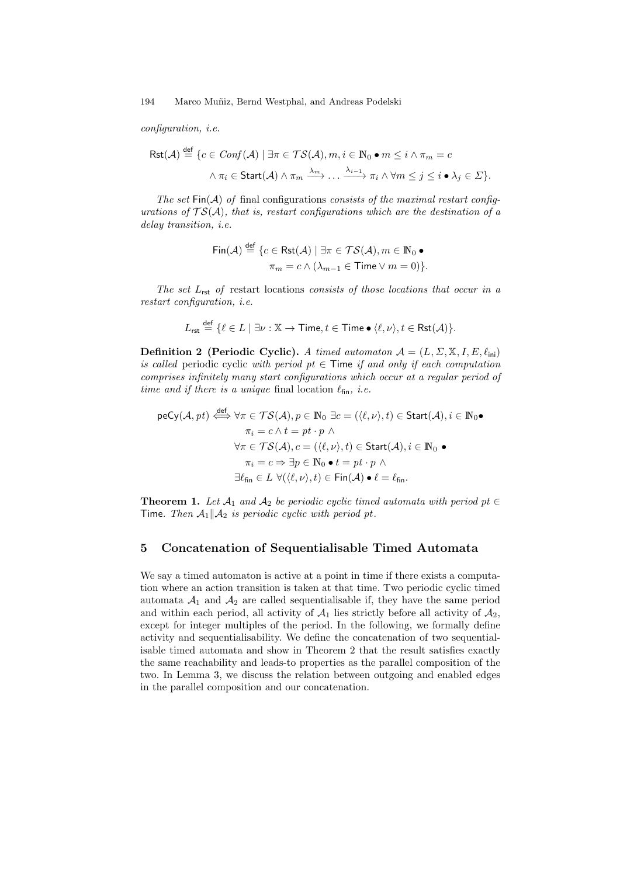configuration, i.e.

$$
\mathsf{Rst}(\mathcal{A}) \stackrel{\text{def}}{=} \{c \in \mathit{Conf}(\mathcal{A}) \mid \exists \pi \in \mathcal{TS}(\mathcal{A}), m, i \in \mathbb{N}_0 \bullet m \leq i \land \pi_m = c
$$

$$
\land \pi_i \in \mathsf{Start}(\mathcal{A}) \land \pi_m \xrightarrow{\lambda_m} \dots \xrightarrow{\lambda_{i-1}} \pi_i \land \forall m \leq j \leq i \bullet \lambda_j \in \Sigma\}.
$$

The set  $\textsf{Fin}(\mathcal{A})$  of final configurations consists of the maximal restart configurations of  $TS(A)$ , that is, restart configurations which are the destination of a delay transition, i.e.

$$
\mathsf{Fin}(\mathcal{A}) \stackrel{\text{def}}{=} \{ c \in \mathsf{Rst}(\mathcal{A}) \mid \exists \pi \in \mathcal{TS}(\mathcal{A}), m \in \mathbb{N}_0 \bullet
$$

$$
\pi_m = c \land (\lambda_{m-1} \in \mathsf{Time} \lor m = 0) \}.
$$

The set  $L_{\text{rst}}$  of restart locations consists of those locations that occur in a restart configuration, i.e.

$$
L_{\mathsf{rst}} \stackrel{\mathsf{def}}{=} \{ \ell \in L \mid \exists \nu : \mathbb{X} \to \mathsf{Time}, t \in \mathsf{Time} \bullet \langle \ell, \nu \rangle, t \in \mathsf{Rst}(\mathcal{A}) \}.
$$

**Definition 2 (Periodic Cyclic).** A timed automaton  $A = (L, \Sigma, \mathbb{X}, I, E, \ell_{\text{ini}})$ is called periodic cyclic with period pt  $\in$  Time if and only if each computation comprises infinitely many start configurations which occur at a regular period of time and if there is a unique final location  $\ell_{fin}$ , i.e.

$$
\begin{aligned}\n\text{peCy}(\mathcal{A}, pt) &\xleftrightarrow{\text{def}} \forall \pi \in \mathcal{TS}(\mathcal{A}), p \in \mathbb{N}_0 \exists c = (\langle \ell, \nu \rangle, t) \in \text{Start}(\mathcal{A}), i \in \mathbb{N}_0 \bullet \\
&\pi_i = c \land t = pt \cdot p \land \\
\forall \pi \in \mathcal{TS}(\mathcal{A}), c = (\langle \ell, \nu \rangle, t) \in \text{Start}(\mathcal{A}), i \in \mathbb{N}_0 \bullet \\
&\pi_i = c \Rightarrow \exists p \in \mathbb{N}_0 \bullet t = pt \cdot p \land \\
\exists \ell_{\text{fin}} \in L \ \forall (\langle \ell, \nu \rangle, t) \in \text{Fin}(\mathcal{A}) \bullet \ell = \ell_{\text{fin}}.\n\end{aligned}
$$

**Theorem 1.** Let  $A_1$  and  $A_2$  be periodic cyclic timed automata with period pt  $\in$ Time. Then  $\mathcal{A}_1||\mathcal{A}_2$  is periodic cyclic with period pt.

### 5 Concatenation of Sequentialisable Timed Automata

We say a timed automaton is active at a point in time if there exists a computation where an action transition is taken at that time. Two periodic cyclic timed automata  $A_1$  and  $A_2$  are called sequentialisable if, they have the same period and within each period, all activity of  $A_1$  lies strictly before all activity of  $A_2$ , except for integer multiples of the period. In the following, we formally define activity and sequentialisability. We define the concatenation of two sequentialisable timed automata and show in Theorem 2 that the result satisfies exactly the same reachability and leads-to properties as the parallel composition of the two. In Lemma 3, we discuss the relation between outgoing and enabled edges in the parallel composition and our concatenation.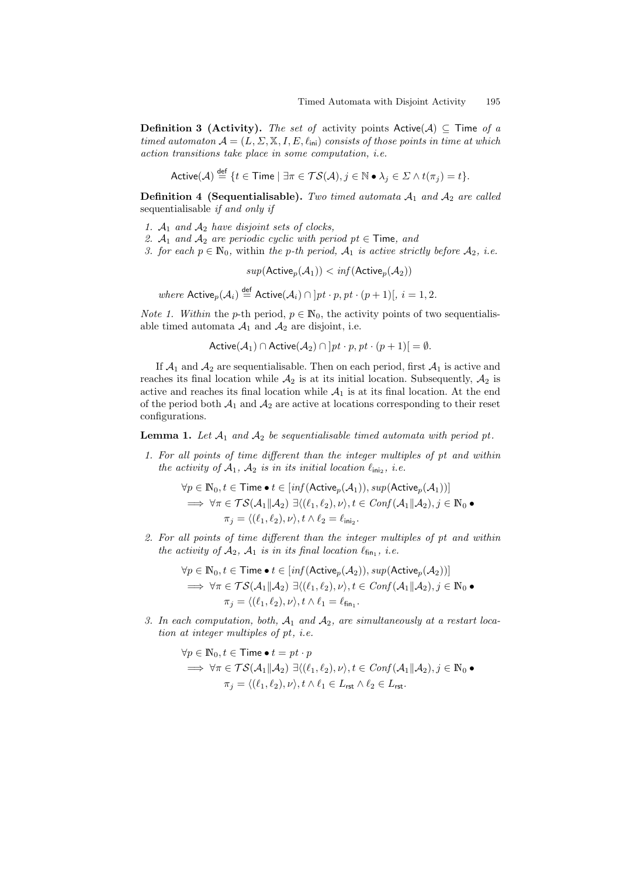**Definition 3 (Activity).** The set of activity points Active(A)  $\subseteq$  Time of a timed automaton  $A = (L, \Sigma, \mathbb{X}, I, E, \ell_{\text{ini}})$  consists of those points in time at which action transitions take place in some computation, i.e.

Active $(\mathcal{A})\stackrel{\mathsf{def}}{=} \{t\in \mathsf{Time} \mid \exists \pi\in \mathcal{TS}(\mathcal{A}), j\in \mathbb{N}\bullet \lambda_j\in \mathcal{\Sigma} \wedge t(\pi_j)=t\}.$ 

**Definition 4 (Sequentialisable).** Two timed automata  $A_1$  and  $A_2$  are called sequentialisable if and only if

- 1.  $A_1$  and  $A_2$  have disjoint sets of clocks,
- 2.  $A_1$  and  $A_2$  are periodic cyclic with period pt  $\in$  Time, and
- 3. for each  $p \in \mathbb{N}_0$ , within the p-th period,  $\mathcal{A}_1$  is active strictly before  $\mathcal{A}_2$ , i.e.

 $sup(\mathsf{Active}_p(\mathcal{A}_1)) < inf(\mathsf{Active}_p(\mathcal{A}_2))$ 

where  $\mathsf{Active}_p(\mathcal{A}_i) \stackrel{\mathsf{def}}{=} \mathsf{Active}(\mathcal{A}_i) \cap [pt \cdot p, pt \cdot (p+1)], i = 1, 2.$ 

*Note 1. Within* the *p*-th period,  $p \in \mathbb{N}_0$ , the activity points of two sequentialisable timed automata  $A_1$  and  $A_2$  are disjoint, i.e.

Active $(A_1) \cap$  Active $(A_2) \cap [pt \cdot p, pt \cdot (p+1)] = \emptyset$ .

If  $A_1$  and  $A_2$  are sequentialisable. Then on each period, first  $A_1$  is active and reaches its final location while  $A_2$  is at its initial location. Subsequently,  $A_2$  is active and reaches its final location while  $A_1$  is at its final location. At the end of the period both  $A_1$  and  $A_2$  are active at locations corresponding to their reset configurations.

**Lemma 1.** Let  $A_1$  and  $A_2$  be sequentialisable timed automata with period pt.

1. For all points of time different than the integer multiples of pt and within the activity of  $A_1$ ,  $A_2$  is in its initial location  $\ell_{\mathsf{ini}_2}$ , i.e.

$$
\forall p \in \mathbb{N}_0, t \in \mathsf{Time} \bullet t \in [\inf(\mathsf{Active}_p(\mathcal{A}_1)), \sup(\mathsf{Active}_p(\mathcal{A}_1))]
$$
\n
$$
\implies \forall \pi \in \mathcal{TS}(\mathcal{A}_1 \| \mathcal{A}_2) \ \exists \langle (\ell_1, \ell_2), \nu \rangle, t \in \mathit{Conf}(\mathcal{A}_1 \| \mathcal{A}_2), j \in \mathbb{N}_0 \bullet
$$
\n
$$
\pi_j = \langle (\ell_1, \ell_2), \nu \rangle, t \land \ell_2 = \ell_{\mathsf{ini}_2}.
$$

2. For all points of time different than the integer multiples of pt and within the activity of  $A_2$ ,  $A_1$  is in its final location  $\ell_{fin_1}$ , i.e.

$$
\forall p \in \mathbb{N}_0, t \in \mathsf{Time} \bullet t \in [\inf(\mathsf{Active}_p(\mathcal{A}_2)), \sup(\mathsf{Active}_p(\mathcal{A}_2))]
$$
\n
$$
\implies \forall \pi \in \mathcal{TS}(\mathcal{A}_1 \| \mathcal{A}_2) \; \exists \langle (\ell_1, \ell_2), \nu \rangle, t \in \mathit{Conf}(\mathcal{A}_1 \| \mathcal{A}_2), j \in \mathbb{N}_0 \bullet
$$
\n
$$
\pi_j = \langle (\ell_1, \ell_2), \nu \rangle, t \land \ell_1 = \ell_{\mathsf{fin}_1}.
$$

3. In each computation, both,  $A_1$  and  $A_2$ , are simultaneously at a restart location at integer multiples of pt. *i.e.* 

$$
\forall p \in \mathbb{N}_0, t \in \mathsf{Time} \bullet t = pt \cdot p
$$
\n
$$
\implies \forall \pi \in \mathcal{TS}(\mathcal{A}_1 \| \mathcal{A}_2) \exists \langle (\ell_1, \ell_2), \nu \rangle, t \in \mathit{Conf}(\mathcal{A}_1 \| \mathcal{A}_2), j \in \mathbb{N}_0 \bullet
$$
\n
$$
\pi_j = \langle (\ell_1, \ell_2), \nu \rangle, t \land \ell_1 \in L_{\mathsf{rst}} \land \ell_2 \in L_{\mathsf{rst}}.
$$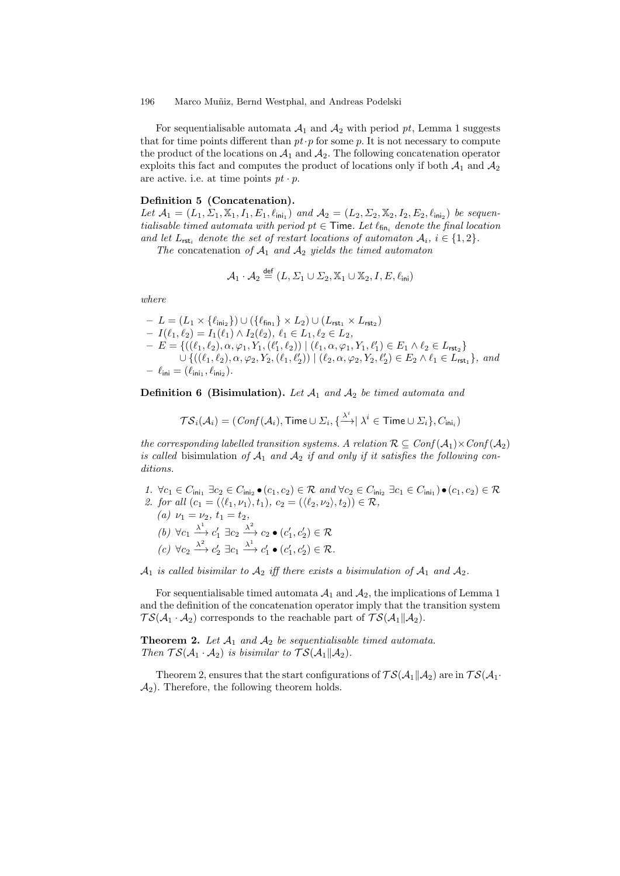For sequentialisable automata  $A_1$  and  $A_2$  with period pt, Lemma 1 suggests that for time points different than  $pt \cdot p$  for some p. It is not necessary to compute the product of the locations on  $A_1$  and  $A_2$ . The following concatenation operator exploits this fact and computes the product of locations only if both  $A_1$  and  $A_2$ are active. i.e. at time points  $pt \cdot p$ .

### Definition 5 (Concatenation).

Let  $\mathcal{A}_1 = (L_1, \Sigma_1, \mathbb{X}_1, I_1, E_1, \ell_{\text{ini}_1})$  and  $\mathcal{A}_2 = (L_2, \Sigma_2, \mathbb{X}_2, I_2, E_2, \ell_{\text{ini}_2})$  be sequentialisable timed automata with period  $pt \in$  Time. Let  $\ell_{fin_i}$  denote the final location and let  $L_{\text{rst}_i}$  denote the set of restart locations of automaton  $A_i$ ,  $i \in \{1,2\}$ .

The concatenation of  $A_1$  and  $A_2$  yields the timed automaton

$$
\mathcal{A}_1 \cdot \mathcal{A}_2 \stackrel{\text{def}}{=} (L, \Sigma_1 \cup \Sigma_2, \mathbb{X}_1 \cup \mathbb{X}_2, I, E, \ell_{\text{ini}})
$$

where

$$
- L = (L_1 \times \{\ell_{\text{ini}_2}\}) \cup (\{\ell_{\text{fin}_1}\} \times L_2) \cup (L_{\text{rst}_1} \times L_{\text{rst}_2})
$$
  
\n
$$
- I(\ell_1, \ell_2) = I_1(\ell_1) \wedge I_2(\ell_2), \ell_1 \in L_1, \ell_2 \in L_2,
$$
  
\n
$$
- E = \{((\ell_1, \ell_2), \alpha, \varphi_1, Y_1, (\ell'_1, \ell_2)) \mid (\ell_1, \alpha, \varphi_1, Y_1, \ell'_1) \in E_1 \wedge \ell_2 \in L_{\text{rst}_2}\}
$$
  
\n
$$
\cup \{((\ell_1, \ell_2), \alpha, \varphi_2, Y_2, (\ell_1, \ell'_2)) \mid (\ell_2, \alpha, \varphi_2, Y_2, \ell'_2) \in E_2 \wedge \ell_1 \in L_{\text{rst}_1}\}, \text{ and}
$$
  
\n
$$
- \ell_{\text{ini}} = (\ell_{\text{ini}_1}, \ell_{\text{ini}_2}).
$$

**Definition 6 (Bisimulation).** Let  $A_1$  and  $A_2$  be timed automata and

$$
\mathcal{TS}_i(\mathcal{A}_i) = (\mathit{Conf}(\mathcal{A}_i), \mathsf{Time} \cup \varSigma_i, \{\stackrel{\lambda^i}{\longrightarrow} \mid \lambda^i \in \mathsf{Time} \cup \varSigma_i\}, C_{\mathsf{ini}_i})
$$

the corresponding labelled transition systems. A relation  $\mathcal{R} \subseteq Conf(\mathcal{A}_1) \times Conf(\mathcal{A}_2)$ is called bisimulation of  $A_1$  and  $A_2$  if and only if it satisfies the following conditions.

1.  $\forall c_1 \in C_{\text{ini}_1} \exists c_2 \in C_{\text{ini}_2} \bullet (c_1, c_2) \in \mathcal{R} \text{ and } \forall c_2 \in C_{\text{ini}_2} \exists c_1 \in C_{\text{ini}_1} \bullet (c_1, c_2) \in \mathcal{R}$ 2. for all  $(c_1 = (\langle \ell_1, \nu_1 \rangle, t_1), c_2 = (\langle \ell_2, \nu_2 \rangle, t_2)) \in \mathcal{R}$ , (a)  $\nu_1 = \nu_2, t_1 = t_2,$ (b)  $\forall c_1 \xrightarrow{\lambda^1} c'_1 \exists c_2 \xrightarrow{\lambda^2} c_2 \bullet (c'_1, c'_2) \in \mathcal{R}$  $(c) \ \forall c_2 \stackrel{\lambda^2}{\longrightarrow} c'_2 \ \exists c_1 \stackrel{\lambda^1}{\longrightarrow} c'_1 \bullet (c'_1, c'_2) \in \mathcal{R}.$ 

 $A_1$  is called bisimilar to  $A_2$  iff there exists a bisimulation of  $A_1$  and  $A_2$ .

For sequentialisable timed automata  $A_1$  and  $A_2$ , the implications of Lemma 1 and the definition of the concatenation operator imply that the transition system  $TS(A_1 \cdot A_2)$  corresponds to the reachable part of  $TS(A_1||A_2)$ .

**Theorem 2.** Let  $A_1$  and  $A_2$  be sequentialisable timed automata. Then  $\mathcal{TS}(\mathcal{A}_1 \cdot \mathcal{A}_2)$  is bisimilar to  $\mathcal{TS}(\mathcal{A}_1 || \mathcal{A}_2)$ .

Theorem 2, ensures that the start configurations of  $TS(A_1||A_2)$  are in  $TS(A_1 \cdot$  $\mathcal{A}_2$ ). Therefore, the following theorem holds.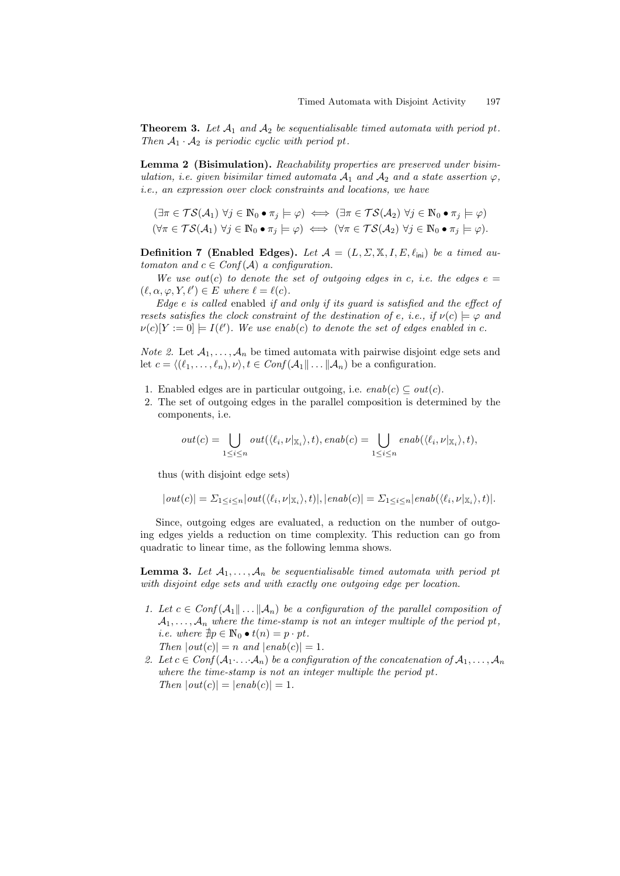**Theorem 3.** Let  $A_1$  and  $A_2$  be sequentialisable timed automata with period pt. Then  $A_1 \cdot A_2$  is periodic cyclic with period pt.

Lemma 2 (Bisimulation). Reachability properties are preserved under bisimulation, i.e. given bisimilar timed automata  $A_1$  and  $A_2$  and a state assertion  $\varphi$ , i.e., an expression over clock constraints and locations, we have

$$
(\exists \pi \in \mathcal{TS}(\mathcal{A}_1) \ \forall j \in \mathbb{N}_0 \bullet \pi_j \models \varphi) \iff (\exists \pi \in \mathcal{TS}(\mathcal{A}_2) \ \forall j \in \mathbb{N}_0 \bullet \pi_j \models \varphi)
$$

$$
(\forall \pi \in \mathcal{TS}(\mathcal{A}_1) \ \forall j \in \mathbb{N}_0 \bullet \pi_j \models \varphi) \iff (\forall \pi \in \mathcal{TS}(\mathcal{A}_2) \ \forall j \in \mathbb{N}_0 \bullet \pi_j \models \varphi).
$$

**Definition 7 (Enabled Edges).** Let  $\mathcal{A} = (L, \Sigma, \mathbb{X}, I, E, \ell_{\text{ini}})$  be a timed automaton and  $c \in Conf(\mathcal{A})$  a configuration.

We use out(c) to denote the set of outgoing edges in c, i.e. the edges  $e =$  $(\ell, \alpha, \varphi, Y, \ell') \in E$  where  $\ell = \ell(c)$ .

Edge e is called enabled if and only if its guard is satisfied and the effect of resets satisfies the clock constraint of the destination of e, i.e., if  $\nu(c) \models \varphi$  and  $\nu(c)[Y := 0] \models I(\ell').$  We use enab(c) to denote the set of edges enabled in c.

*Note 2.* Let  $A_1, \ldots, A_n$  be timed automata with pairwise disjoint edge sets and let  $c = \langle (\ell_1, \ldots, \ell_n), \nu \rangle, t \in Conf(\mathcal{A}_1 \| \ldots \| \mathcal{A}_n)$  be a configuration.

- 1. Enabled edges are in particular outgoing, i.e.  $enab(c) \subseteq out(c)$ .
- 2. The set of outgoing edges in the parallel composition is determined by the components, i.e.

$$
out(c) = \bigcup_{1 \leq i \leq n} out(\langle \ell_i, \nu |_{\mathbb{X}_i} \rangle, t), enab(c) = \bigcup_{1 \leq i \leq n} enab(\langle \ell_i, \nu |_{\mathbb{X}_i} \rangle, t),
$$

thus (with disjoint edge sets)

$$
|out(c)| = \sum_{1 \leq i \leq n} |out(\langle \ell_i, \nu | \chi_i \rangle, t)|, |enab(c)| = \sum_{1 \leq i \leq n} |enab(\langle \ell_i, \nu | \chi_i \rangle, t)|.
$$

Since, outgoing edges are evaluated, a reduction on the number of outgoing edges yields a reduction on time complexity. This reduction can go from quadratic to linear time, as the following lemma shows.

**Lemma 3.** Let  $A_1, \ldots, A_n$  be sequentialisable timed automata with period pt with disjoint edge sets and with exactly one outgoing edge per location.

- 1. Let  $c \in Conf(\mathcal{A}_1 \| ... \| \mathcal{A}_n)$  be a configuration of the parallel composition of  $A_1, \ldots, A_n$  where the time-stamp is not an integer multiple of the period pt, *i.e.* where  $\nexists p \in \mathbb{N}_0 \bullet t(n) = p \cdot pt$ . Then  $|out(c)| = n$  and  $|enab(c)| = 1$ .
- 2. Let  $c \in Conf(\mathcal{A}_1 \ldots \mathcal{A}_n)$  be a configuration of the concatenation of  $\mathcal{A}_1, \ldots, \mathcal{A}_n$ where the time-stamp is not an integer multiple the period pt. Then  $|out(c)| = |enab(c)| = 1$ .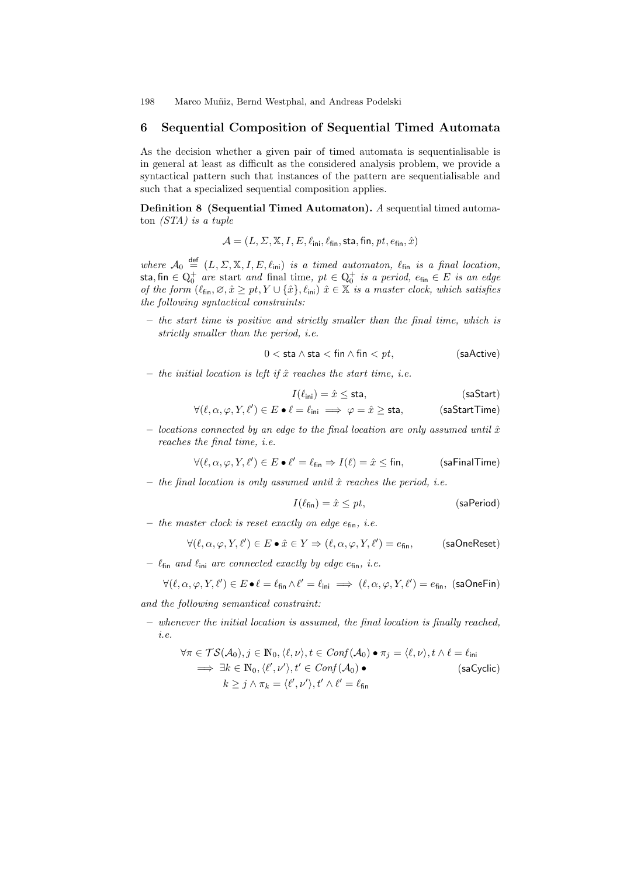# 6 Sequential Composition of Sequential Timed Automata

As the decision whether a given pair of timed automata is sequentialisable is in general at least as difficult as the considered analysis problem, we provide a syntactical pattern such that instances of the pattern are sequentialisable and such that a specialized sequential composition applies.

Definition 8 (Sequential Timed Automaton). A sequential timed automaton (STA) is a tuple

 $\mathcal{A} = (L, \Sigma, \mathbb{X}, I, E, \ell_{\mathsf{ini}}, \ell_{\mathsf{fin}}, \mathsf{sta}, \mathsf{fin}, \mathsf{pt}, e_{\mathsf{fin}}, \hat{x})$ 

where  $\mathcal{A}_0 \stackrel{\text{def}}{=} (L, \Sigma, \mathbb{X}, I, E, \ell_{\text{ini}})$  is a timed automaton,  $\ell_{\text{fin}}$  is a final location, sta, fin  $\in \mathbb{Q}_{0}^{+}$  are start and final time,  $pt \in \mathbb{Q}_{0}^{+}$  is a period,  $e_{\mathsf{fin}} \in E$  is an edge of the form  $(\ell_{fin}, \varnothing, \hat{x} \geq pt, Y \cup {\hat{x}}$ ,  $\ell_{\text{ini}})$   $\hat{x} \in \mathbb{X}$  is a master clock, which satisfies the following syntactical constraints:

– the start time is positive and strictly smaller than the final time, which is strictly smaller than the period, i.e.

$$
0 < \text{sta} \land \text{sta} < \text{fin} \land \text{fin} < pt,\tag{saActive}
$$

– the initial location is left if  $\hat{x}$  reaches the start time, i.e.

$$
I(\ell_{\text{ini}}) = \hat{x} \leq \text{sta},\tag{saStart}
$$

$$
\forall (\ell, \alpha, \varphi, Y, \ell') \in E \bullet \ell = \ell_{\mathsf{ini}} \implies \varphi = \hat{x} \geq \mathsf{sta}, \qquad \qquad (\mathsf{saStartTime})
$$

– locations connected by an edge to the final location are only assumed until  $\hat{x}$ reaches the final time, i.e.

$$
\forall (\ell, \alpha, \varphi, Y, \ell') \in E \bullet \ell' = \ell_{fin} \Rightarrow I(\ell) = \hat{x} \leq fin, \qquad \text{(safinalTime)}
$$

– the final location is only assumed until  $\hat{x}$  reaches the period, i.e.

$$
I(\ell_{fin}) = \hat{x} \le pt, \qquad \qquad \text{(saPeriod)}
$$

– the master clock is reset exactly on edge  $e_{fin}$ , i.e.

$$
\forall (\ell, \alpha, \varphi, Y, \ell') \in E \bullet \hat{x} \in Y \Rightarrow (\ell, \alpha, \varphi, Y, \ell') = e_{\text{fin}}, \qquad \text{(saOneReset)}
$$

–  $\ell_{fin}$  and  $\ell_{ini}$  are connected exactly by edge  $e_{fin}$ , i.e.

$$
\forall (\ell, \alpha, \varphi, Y, \ell') \in E \bullet \ell = \ell_{fin} \land \ell' = \ell_{ini} \implies (\ell, \alpha, \varphi, Y, \ell') = e_{fin}, \text{ (saOneFin)}
$$

and the following semantical constraint:

– whenever the initial location is assumed, the final location is finally reached, i.e.

$$
\forall \pi \in \mathcal{TS}(\mathcal{A}_0), j \in \mathbb{N}_0, \langle \ell, \nu \rangle, t \in Conf(\mathcal{A}_0) \bullet \pi_j = \langle \ell, \nu \rangle, t \land \ell = \ell_{\text{ini}}
$$
  
\n
$$
\implies \exists k \in \mathbb{N}_0, \langle \ell', \nu' \rangle, t' \in Conf(\mathcal{A}_0) \bullet \qquad \qquad \text{(saCyclic)}
$$
  
\n
$$
k \geq j \land \pi_k = \langle \ell', \nu' \rangle, t' \land \ell' = \ell_{\text{fin}}
$$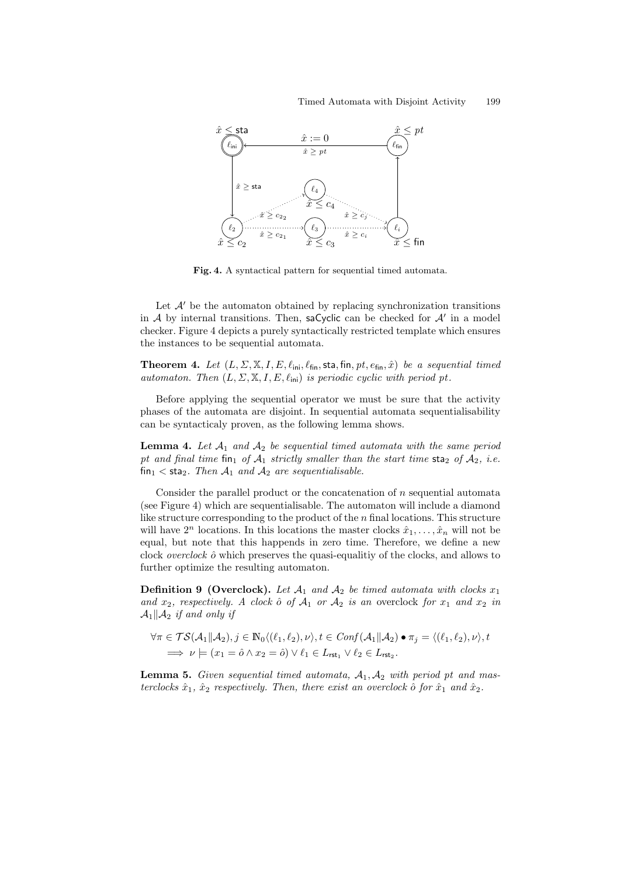### Timed Automata with Disjoint Activity 199



Fig. 4. A syntactical pattern for sequential timed automata.

Let  $\mathcal{A}'$  be the automaton obtained by replacing synchronization transitions in A by internal transitions. Then, saCyclic can be checked for  $A'$  in a model checker. Figure 4 depicts a purely syntactically restricted template which ensures the instances to be sequential automata.

**Theorem 4.** Let  $(L, \Sigma, \mathbb{X}, I, E, \ell_{\text{ini}}, \ell_{\text{fin}})$ , sta, fin, pt,  $e_{\text{fin}}, \hat{x})$  be a sequential timed automaton. Then  $(L, \Sigma, \mathbb{X}, I, E, \ell_{\text{ini}})$  is periodic cyclic with period pt.

Before applying the sequential operator we must be sure that the activity phases of the automata are disjoint. In sequential automata sequentialisability can be syntacticaly proven, as the following lemma shows.

**Lemma 4.** Let  $A_1$  and  $A_2$  be sequential timed automata with the same period pt and final time fin<sub>1</sub> of  $A_1$  strictly smaller than the start time sta<sub>2</sub> of  $A_2$ , i.e. fin<sub>1</sub> < sta<sub>2</sub>. Then  $A_1$  and  $A_2$  are sequentialisable.

Consider the parallel product or the concatenation of  $n$  sequential automata (see Figure 4) which are sequentialisable. The automaton will include a diamond like structure corresponding to the product of the  $n$  final locations. This structure will have  $2^n$  locations. In this locations the master clocks  $\hat{x}_1, \ldots, \hat{x}_n$  will not be equal, but note that this happends in zero time. Therefore, we define a new clock *overclock*  $\hat{o}$  which preserves the quasi-equalitiy of the clocks, and allows to further optimize the resulting automaton.

**Definition 9 (Overclock).** Let  $A_1$  and  $A_2$  be timed automata with clocks  $x_1$ and  $x_2$ , respectively. A clock  $\hat{o}$  of  $\mathcal{A}_1$  or  $\mathcal{A}_2$  is an overclock for  $x_1$  and  $x_2$  in  $\mathcal{A}_1||\mathcal{A}_2$  if and only if

$$
\forall \pi \in \mathcal{TS}(\mathcal{A}_1 \| \mathcal{A}_2), j \in \mathbb{N}_0 \langle (\ell_1, \ell_2), \nu \rangle, t \in \text{Conf}(\mathcal{A}_1 \| \mathcal{A}_2) \bullet \pi_j = \langle (\ell_1, \ell_2), \nu \rangle, t \in \mathcal{D}_1 \Rightarrow \mathcal{D}_1 \models (x_1 = \hat{o} \land x_2 = \hat{o}) \lor \ell_1 \in L_{\text{rst}_1} \lor \ell_2 \in L_{\text{rst}_2}.
$$

**Lemma 5.** Given sequential timed automata,  $A_1$ ,  $A_2$  with period pt and masterclocks  $\hat{x}_1$ ,  $\hat{x}_2$  respectively. Then, there exist an overclock  $\hat{o}$  for  $\hat{x}_1$  and  $\hat{x}_2$ .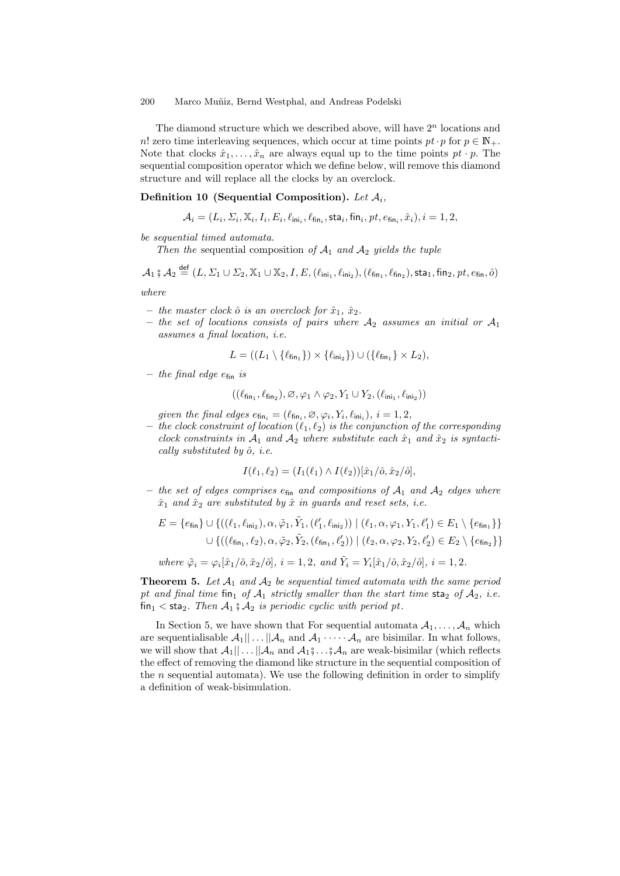The diamond structure which we described above, will have  $2<sup>n</sup>$  locations and n! zero time interleaving sequences, which occur at time points  $pt \cdot p$  for  $p \in \mathbb{N}_+$ . Note that clocks  $\hat{x}_1, \ldots, \hat{x}_n$  are always equal up to the time points  $pt \cdot p$ . The sequential composition operator which we define below, will remove this diamond structure and will replace all the clocks by an overclock.

### Definition 10 (Sequential Composition). Let  $A_i$ ,

$$
\mathcal{A}_i = (L_i, \Sigma_i, \mathbb{X}_i, I_i, E_i, \ell_{\mathsf{ini}_i}, \ell_{\mathsf{fin}_i}, \mathsf{sta}_i, \mathsf{fin}_i, \mathit{pt}, e_{\mathsf{fin}_i}, \hat{x}_i), i=1,2,
$$

be sequential timed automata.

Then the sequential composition of  $A_1$  and  $A_2$  yields the tuple

 $\mathcal{A}_1$  ;  $\mathcal{A}_2 \stackrel{\text{def}}{=} (L, \Sigma_1 \cup \Sigma_2, \mathbb{X}_1 \cup \mathbb{X}_2, I, E, (\ell_{\text{ini}_1}, \ell_{\text{ini}_2}), (\ell_{\text{fin}_1}, \ell_{\text{fin}_2}), \textsf{sta}_1, \textsf{fin}_2, pt, e_{\textsf{fin}}, \hat{o})$ 

where

- the master clock  $\hat{o}$  is an overclock for  $\hat{x}_1, \hat{x}_2$ .
- the set of locations consists of pairs where  $A_2$  assumes an initial or  $A_1$ assumes a final location, i.e.

$$
L = ((L_1 \setminus \{\ell_{\mathsf{fin}_1}\}) \times \{\ell_{\mathsf{ini}_2}\}) \cup (\{\ell_{\mathsf{fin}_1}\} \times L_2),
$$

– the final edge  $e_{fin}$  is

$$
((\ell_{\mathsf{fin}_1}, \ell_{\mathsf{fin}_2}), \varnothing, \varphi_1 \wedge \varphi_2, Y_1 \cup Y_2, (\ell_{\mathsf{ini}_1}, \ell_{\mathsf{ini}_2}))
$$

given the final edges  $e_{fin_i} = (\ell_{fin_i}, \varnothing, \varphi_i, Y_i, \ell_{ini_i}), i = 1, 2,$ 

– the clock constraint of location  $(\ell_1, \ell_2)$  is the conjunction of the corresponding clock constraints in  $A_1$  and  $A_2$  where substitute each  $\hat{x}_1$  and  $\hat{x}_2$  is syntactically substituted by  $\hat{o}$ , *i.e.* 

$$
I(\ell_1, \ell_2) = (I_1(\ell_1) \wedge I(\ell_2)) [\hat{x}_1/\hat{o}, \hat{x}_2/\hat{o}],
$$

– the set of edges comprises  $e_{fin}$  and compositions of  $A_1$  and  $A_2$  edges where  $\hat{x}_1$  and  $\hat{x}_2$  are substituted by  $\hat{x}$  in guards and reset sets, i.e.

$$
E = \{e_{fin}\} \cup \{((\ell_1, \ell_{\text{ini}_2}), \alpha, \tilde{\varphi}_1, \tilde{Y}_1, (\ell'_1, \ell_{\text{ini}_2})) \mid (\ell_1, \alpha, \varphi_1, Y_1, \ell'_1) \in E_1 \setminus \{e_{fin_1}\}\}\
$$

$$
\cup \{((\ell_{fin_1}, \ell_2), \alpha, \tilde{\varphi}_2, \tilde{Y}_2, (\ell_{fin_1}, \ell'_2)) \mid (\ell_2, \alpha, \varphi_2, Y_2, \ell'_2) \in E_2 \setminus \{e_{fin_2}\}\}\
$$

where  $\tilde{\varphi}_i = \varphi_i[\hat{x}_1/\hat{o}, \hat{x}_2/\hat{o}], i = 1, 2, \text{ and } \tilde{Y}_i = Y_i[\hat{x}_1/\hat{o}, \hat{x}_2/\hat{o}], i = 1, 2.$ 

**Theorem 5.** Let  $A_1$  and  $A_2$  be sequential timed automata with the same period pt and final time fin<sub>1</sub> of  $A_1$  strictly smaller than the start time sta<sub>2</sub> of  $A_2$ , i.e.  $fin_1 <$  sta<sub>2</sub>. Then  $\mathcal{A}_1 \$   $\mathcal{A}_2$  is periodic cyclic with period pt.

In Section 5, we have shown that For sequential automata  $A_1, \ldots, A_n$  which are sequentialisable  $\mathcal{A}_1|| \dots ||\mathcal{A}_n$  and  $\mathcal{A}_1 \dots \mathcal{A}_n$  are bisimilar. In what follows, we will show that  $\mathcal{A}_1|| \dots ||\mathcal{A}_n$  and  $\mathcal{A}_1 \hat{\mathfrak{z}} \dots \hat{\mathfrak{z}} \mathcal{A}_n$  are weak-bisimilar (which reflects the effect of removing the diamond like structure in the sequential composition of the  $n$  sequential automata). We use the following definition in order to simplify a definition of weak-bisimulation.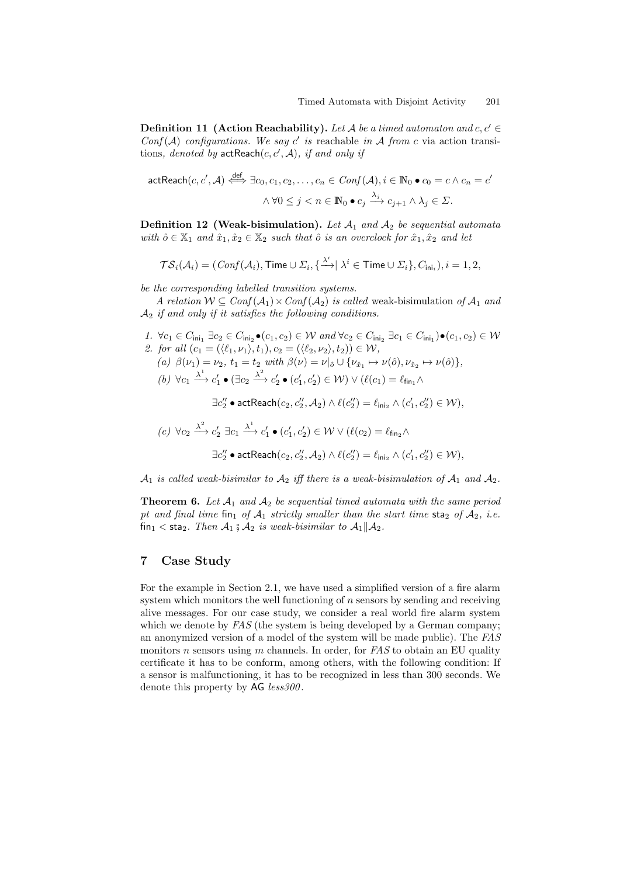**Definition 11 (Action Reachability).** Let A be a timed automaton and  $c, c' \in$  $Conf(A)$  configurations. We say c' is reachable in A from c via action transitions, denoted by  $\mathsf{actReach}(c,c',\mathcal{A})$ , if and only if

$$
\begin{aligned}\n\text{actReach}(c, c', \mathcal{A}) &\xleftrightarrow{\text{def}} \exists c_0, c_1, c_2, \dots, c_n \in \text{Conf}(\mathcal{A}), i \in \mathbb{N}_0 \bullet c_0 = c \land c_n = c' \\
&\land \forall 0 \le j < n \in \mathbb{N}_0 \bullet c_j \xrightarrow{\lambda_j} c_{j+1} \land \lambda_j \in \Sigma.\n\end{aligned}
$$

**Definition 12 (Weak-bisimulation).** Let  $A_1$  and  $A_2$  be sequential automata with  $\hat{o} \in \mathbb{X}_1$  and  $\hat{x}_1, \hat{x}_2 \in \mathbb{X}_2$  such that  $\hat{o}$  is an overclock for  $\hat{x}_1, \hat{x}_2$  and let

$$
\mathcal{TS}_i(\mathcal{A}_i) = (\mathit{Conf}(\mathcal{A}_i), \mathsf{Time} \cup \varSigma_i, \{\tfrac{\lambda^i}{\cdot}|\ \lambda^i \in \mathsf{Time} \cup \varSigma_i\}, C_{\mathsf{ini}_i}), i = 1, 2,
$$

be the corresponding labelled transition systems.

A relation  $W \subseteq Conf(\mathcal{A}_1) \times Conf(\mathcal{A}_2)$  is called weak-bisimulation of  $\mathcal{A}_1$  and  $\mathcal{A}_2$  if and only if it satisfies the following conditions.

1.  $\forall c_1 \in C_{\text{ini}_1} \exists c_2 \in C_{\text{ini}_2} \bullet (c_1, c_2) \in W$  and  $\forall c_2 \in C_{\text{ini}_2} \exists c_1 \in C_{\text{ini}_1} \bullet (c_1, c_2) \in W$ 2. for all  $(c_1 = (\langle \ell_1, \nu_1 \rangle, t_1), c_2 = (\langle \ell_2, \nu_2 \rangle, t_2)) \in \mathcal{W}$ , (a)  $\beta(\nu_1) = \nu_2$ ,  $t_1 = t_2$  with  $\beta(\nu) = \nu|_{\hat{o}} \cup {\{\nu_{\hat{x}_1} \mapsto \nu(\hat{o}), \nu_{\hat{x}_2} \mapsto \nu(\hat{o})\}},$ (b)  $\forall c_1 \xrightarrow{\lambda^1} c'_1 \bullet (\exists c_2 \xrightarrow{\lambda^2} c'_2 \bullet (c'_1, c'_2) \in W) \vee (\ell(c_1) = \ell_{fin_1} \wedge$  $\exists c_2'' \bullet \mathsf{actReach}(c_2, c_2'', \mathcal{A}_2) \land \ell(c_2'') = \ell_{\mathsf{ini}_2} \land (c_1', c_2'') \in \mathcal{W}),$ 2 1

$$
(c) \ \forall c_2 \xrightarrow{\lambda^2} c'_2 \exists c_1 \xrightarrow{\lambda^1} c'_1 \bullet (c'_1, c'_2) \in \mathcal{W} \lor (\ell(c_2) = \ell_{\text{fin}_2} \land
$$

$$
\exists c''_2 \bullet \text{actReach}(c_2, c''_2, \mathcal{A}_2) \land \ell(c''_2) = \ell_{\text{ini}_2} \land (c'_1, c''_2) \in \mathcal{W}),
$$

 $A_1$  is called weak-bisimilar to  $A_2$  iff there is a weak-bisimulation of  $A_1$  and  $A_2$ .

**Theorem 6.** Let  $A_1$  and  $A_2$  be sequential timed automata with the same period pt and final time fin<sub>1</sub> of  $A_1$  strictly smaller than the start time sta<sub>2</sub> of  $A_2$ , i.e.  $f_{\text{in}_1}$  < sta<sub>2</sub>. Then  $\mathcal{A}_1$   $\circ$   $\mathcal{A}_2$  is weak-bisimilar to  $\mathcal{A}_1 || \mathcal{A}_2$ .

# 7 Case Study

For the example in Section 2.1, we have used a simplified version of a fire alarm system which monitors the well functioning of n sensors by sending and receiving alive messages. For our case study, we consider a real world fire alarm system which we denote by  $FAS$  (the system is being developed by a German company; an anonymized version of a model of the system will be made public). The FAS monitors n sensors using m channels. In order, for  $FAS$  to obtain an EU quality certificate it has to be conform, among others, with the following condition: If a sensor is malfunctioning, it has to be recognized in less than 300 seconds. We denote this property by AG less 300.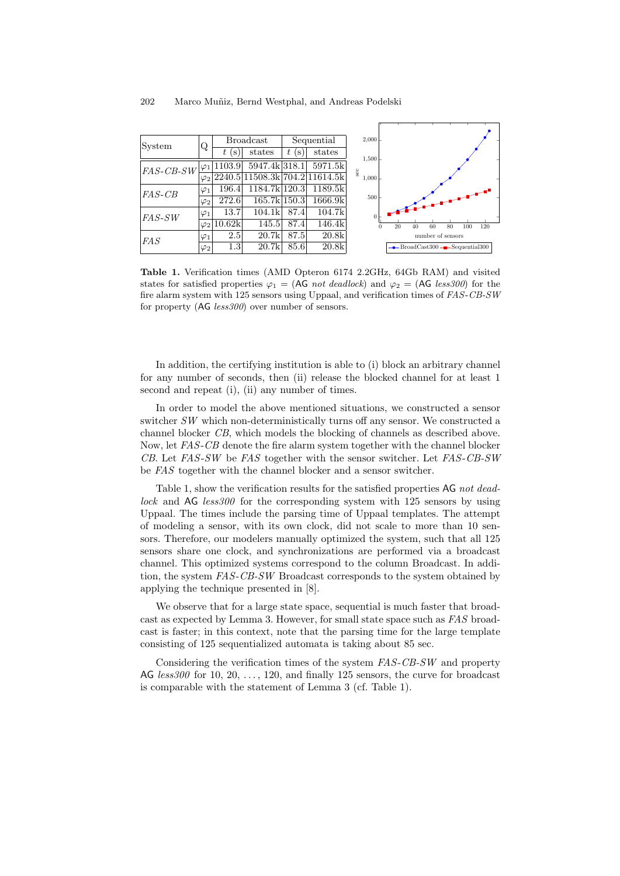

Table 1. Verification times (AMD Opteron 6174 2.2GHz, 64Gb RAM) and visited states for satisfied properties  $\varphi_1 = (AG \text{ not deadlock})$  and  $\varphi_2 = (AG \text{ less }300)$  for the fire alarm system with 125 sensors using Uppaal, and verification times of FAS-CB-SW for property (AG *less300*) over number of sensors.

In addition, the certifying institution is able to (i) block an arbitrary channel for any number of seconds, then (ii) release the blocked channel for at least 1 second and repeat (i), (ii) any number of times.

In order to model the above mentioned situations, we constructed a sensor switcher SW which non-deterministically turns off any sensor. We constructed a channel blocker CB, which models the blocking of channels as described above. Now, let FAS-CB denote the fire alarm system together with the channel blocker CB. Let FAS-SW be FAS together with the sensor switcher. Let FAS-CB-SW be FAS together with the channel blocker and a sensor switcher.

Table 1, show the verification results for the satisfied properties AG not deadlock and AG less 300 for the corresponding system with 125 sensors by using Uppaal. The times include the parsing time of Uppaal templates. The attempt of modeling a sensor, with its own clock, did not scale to more than 10 sensors. Therefore, our modelers manually optimized the system, such that all 125 sensors share one clock, and synchronizations are performed via a broadcast channel. This optimized systems correspond to the column Broadcast. In addition, the system FAS-CB-SW Broadcast corresponds to the system obtained by applying the technique presented in [8].

We observe that for a large state space, sequential is much faster that broadcast as expected by Lemma 3. However, for small state space such as FAS broadcast is faster; in this context, note that the parsing time for the large template consisting of 125 sequentialized automata is taking about 85 sec.

Considering the verification times of the system FAS-CB-SW and property  $AG \; less300$  for  $10, 20, \ldots, 120$ , and finally 125 sensors, the curve for broadcast is comparable with the statement of Lemma 3 (cf. Table 1).